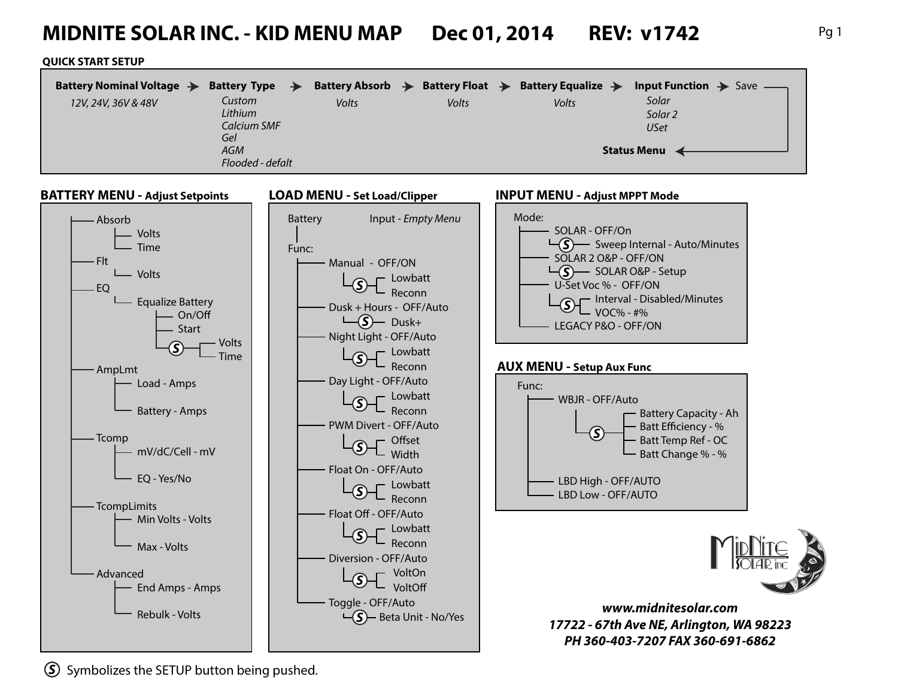# **MIDNITE SOLAR INC. - KID MENU MAP Dec 01, 2014 REV: v1742** Pg 1

#### **QUICK START SETUP**

|                                        | Battery Nominal Voltage $\rightarrow$<br>12V, 24V, 36V & 48V |  | Battery Type $\rightarrow$<br>Custom<br>Lithium<br><b>Calcium SMF</b><br>Gel<br>AGM<br>Flooded - defalt |                                     | Battery Absorb $\rightarrow$<br>Volts |  | Battery Float $\rightarrow$<br>Volts | Battery Equalize $\rightarrow$<br>Volts | Input Function $\rightarrow$ Save -<br>Solar<br>Solar <sub>2</sub><br><b>USet</b><br><b>Status Menu</b> |  |
|----------------------------------------|--------------------------------------------------------------|--|---------------------------------------------------------------------------------------------------------|-------------------------------------|---------------------------------------|--|--------------------------------------|-----------------------------------------|---------------------------------------------------------------------------------------------------------|--|
| <b>BATTERY MENU - Adjust Setpoints</b> |                                                              |  |                                                                                                         | <b>LOAD MENU - Set Load/Clipper</b> |                                       |  |                                      | <b>INPUT MENU - Adjust MPPT Mode</b>    |                                                                                                         |  |



*S* Symbolizes the SETUP button being pushed.